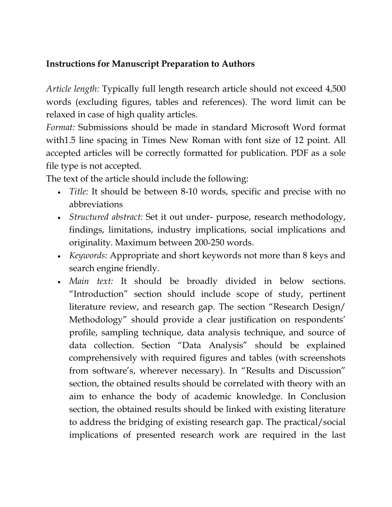## **Instructions for Manuscript Preparation to Authors**

*Article length:* Typically full length research article should not exceed 4,500 words (excluding figures, tables and references). The word limit can be relaxed in case of high quality articles.

*Format:* Submissions should be made in standard Microsoft Word format with1.5 line spacing in Times New Roman with font size of 12 point. All accepted articles will be correctly formatted for publication. PDF as a sole file type is not accepted.

The text of the article should include the following:

- *Title:* It should be between 8-10 words, specific and precise with no abbreviations
- *Structured abstract:* Set it out under- purpose, research methodology, findings, limitations, industry implications, social implications and originality. Maximum between 200-250 words.
- *Keywords:* Appropriate and short keywords not more than 8 keys and search engine friendly.
- *Main text:* It should be broadly divided in below sections. "Introduction" section should include scope of study, pertinent literature review, and research gap. The section "Research Design/ Methodology" should provide a clear justification on respondents' profile, sampling technique, data analysis technique, and source of data collection. Section "Data Analysis" should be explained comprehensively with required figures and tables (with screenshots from software's, wherever necessary). In "Results and Discussion" section, the obtained results should be correlated with theory with an aim to enhance the body of academic knowledge. In Conclusion section, the obtained results should be linked with existing literature to address the bridging of existing research gap. The practical/social implications of presented research work are required in the last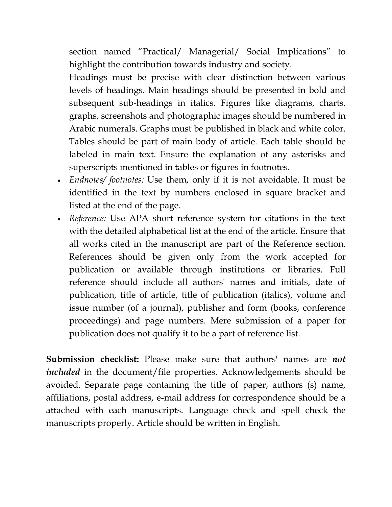section named "Practical/ Managerial/ Social Implications" to highlight the contribution towards industry and society.

Headings must be precise with clear distinction between various levels of headings. Main headings should be presented in bold and subsequent sub-headings in italics. Figures like diagrams, charts, graphs, screenshots and photographic images should be numbered in Arabic numerals. Graphs must be published in black and white color. Tables should be part of main body of article. Each table should be labeled in main text. Ensure the explanation of any asterisks and superscripts mentioned in tables or figures in footnotes.

- *Endnotes/ footnotes:* Use them, only if it is not avoidable. It must be identified in the text by numbers enclosed in square bracket and listed at the end of the page.
- *Reference:* Use APA short reference system for citations in the text with the detailed alphabetical list at the end of the article. Ensure that all works cited in the manuscript are part of the Reference section. References should be given only from the work accepted for publication or available through institutions or libraries. Full reference should include all authors' names and initials, date of publication, title of article, title of publication (italics), volume and issue number (of a journal), publisher and form (books, conference proceedings) and page numbers. Mere submission of a paper for publication does not qualify it to be a part of reference list.

**Submission checklist:** Please make sure that authors' names are *not included* in the document/file properties. Acknowledgements should be avoided. Separate page containing the title of paper, authors (s) name, affiliations, postal address, e-mail address for correspondence should be a attached with each manuscripts. Language check and spell check the manuscripts properly. Article should be written in English.